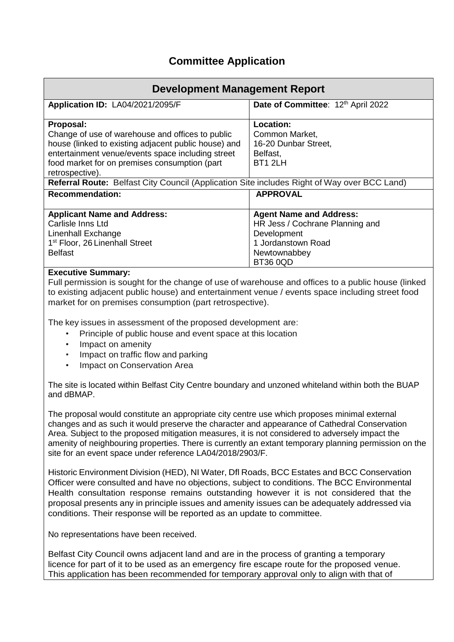# **Committee Application**

| <b>Development Management Report</b>                                                                                                                                                                                                                                                                                                                                                                     |                                                                                                                                           |  |
|----------------------------------------------------------------------------------------------------------------------------------------------------------------------------------------------------------------------------------------------------------------------------------------------------------------------------------------------------------------------------------------------------------|-------------------------------------------------------------------------------------------------------------------------------------------|--|
| Application ID: LA04/2021/2095/F                                                                                                                                                                                                                                                                                                                                                                         | Date of Committee: 12th April 2022                                                                                                        |  |
| Proposal:<br>Change of use of warehouse and offices to public<br>house (linked to existing adjacent public house) and<br>entertainment venue/events space including street<br>food market for on premises consumption (part<br>retrospective).<br>Referral Route: Belfast City Council (Application Site includes Right of Way over BCC Land)                                                            | Location:<br>Common Market,<br>16-20 Dunbar Street,<br>Belfast,<br>BT1 2LH                                                                |  |
| <b>Recommendation:</b>                                                                                                                                                                                                                                                                                                                                                                                   | <b>APPROVAL</b>                                                                                                                           |  |
| <b>Applicant Name and Address:</b><br>Carlisle Inns Ltd<br>Linenhall Exchange<br>1 <sup>st</sup> Floor, 26 Linenhall Street<br><b>Belfast</b><br><b>Executive Summary:</b>                                                                                                                                                                                                                               | <b>Agent Name and Address:</b><br>HR Jess / Cochrane Planning and<br>Development<br>1 Jordanstown Road<br>Newtownabbey<br><b>BT36 0QD</b> |  |
| Full permission is sought for the change of use of warehouse and offices to a public house (linked<br>to existing adjacent public house) and entertainment venue / events space including street food<br>market for on premises consumption (part retrospective).                                                                                                                                        |                                                                                                                                           |  |
| The key issues in assessment of the proposed development are:<br>Principle of public house and event space at this location<br>Impact on amenity<br>Impact on traffic flow and parking<br>$\bullet$<br>Impact on Conservation Area<br>$\bullet$                                                                                                                                                          |                                                                                                                                           |  |
| The site is located within Belfast City Centre boundary and unzoned whiteland within both the BUAP<br>and dBMAP.                                                                                                                                                                                                                                                                                         |                                                                                                                                           |  |
| The proposal would constitute an appropriate city centre use which proposes minimal external<br>changes and as such it would preserve the character and appearance of Cathedral Conservation<br>Area. Subject to the proposed mitigation measures, it is not considered to adversely impact the<br>amenity of neighbouring properties. There is currently an extant temporary planning permission on the |                                                                                                                                           |  |

Historic Environment Division (HED), NI Water, Dfl Roads, BCC Estates and BCC Conservation Officer were consulted and have no objections, subject to conditions. The BCC Environmental Health consultation response remains outstanding however it is not considered that the proposal presents any in principle issues and amenity issues can be adequately addressed via conditions. Their response will be reported as an update to committee.

No representations have been received.

site for an event space under reference LA04/2018/2903/F.

Belfast City Council owns adjacent land and are in the process of granting a temporary licence for part of it to be used as an emergency fire escape route for the proposed venue. This application has been recommended for temporary approval only to align with that of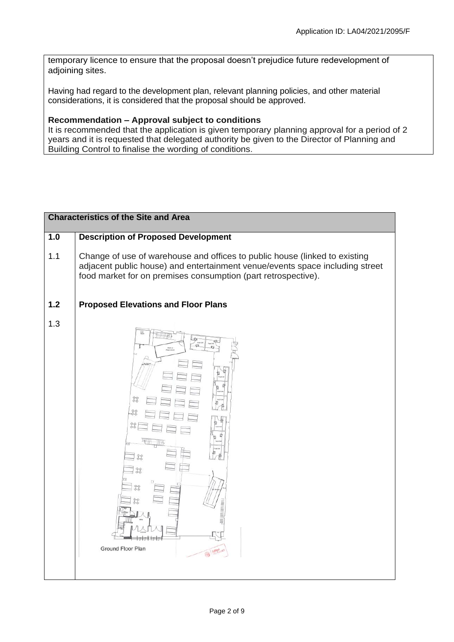temporary licence to ensure that the proposal doesn't prejudice future redevelopment of adjoining sites.

Having had regard to the development plan, relevant planning policies, and other material considerations, it is considered that the proposal should be approved.

# **Recommendation – Approval subject to conditions**

It is recommended that the application is given temporary planning approval for a period of 2 years and it is requested that delegated authority be given to the Director of Planning and Building Control to finalise the wording of conditions.

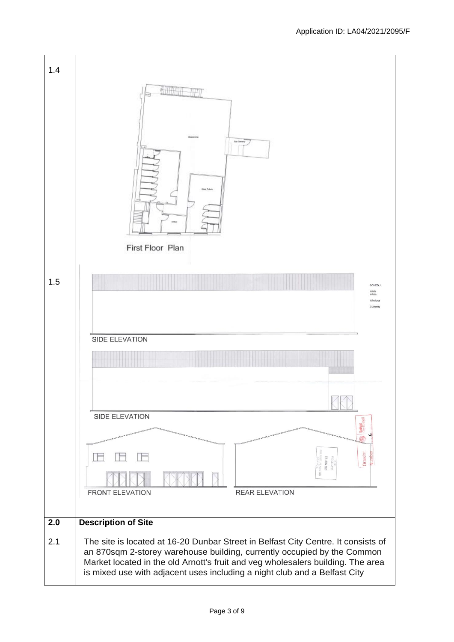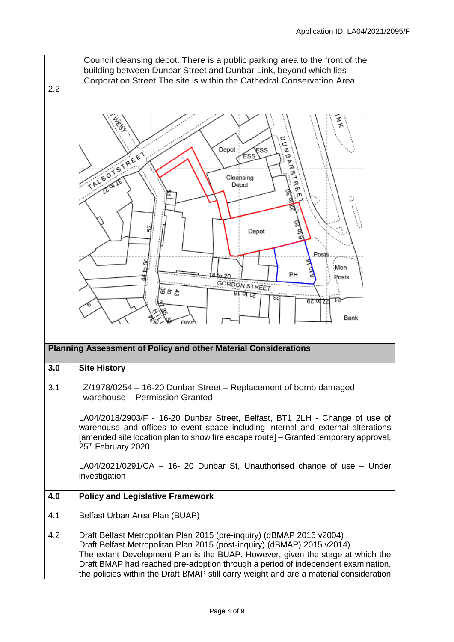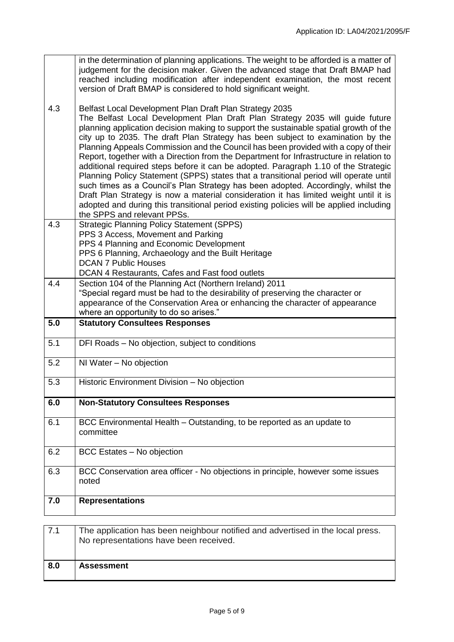|     | in the determination of planning applications. The weight to be afforded is a matter of<br>judgement for the decision maker. Given the advanced stage that Draft BMAP had<br>reached including modification after independent examination, the most recent<br>version of Draft BMAP is considered to hold significant weight.                                                                                                                                                                                                                                                                                                                                                                                                                                                                                                                                                                                                                                                                 |
|-----|-----------------------------------------------------------------------------------------------------------------------------------------------------------------------------------------------------------------------------------------------------------------------------------------------------------------------------------------------------------------------------------------------------------------------------------------------------------------------------------------------------------------------------------------------------------------------------------------------------------------------------------------------------------------------------------------------------------------------------------------------------------------------------------------------------------------------------------------------------------------------------------------------------------------------------------------------------------------------------------------------|
| 4.3 | Belfast Local Development Plan Draft Plan Strategy 2035<br>The Belfast Local Development Plan Draft Plan Strategy 2035 will guide future<br>planning application decision making to support the sustainable spatial growth of the<br>city up to 2035. The draft Plan Strategy has been subject to examination by the<br>Planning Appeals Commission and the Council has been provided with a copy of their<br>Report, together with a Direction from the Department for Infrastructure in relation to<br>additional required steps before it can be adopted. Paragraph 1.10 of the Strategic<br>Planning Policy Statement (SPPS) states that a transitional period will operate until<br>such times as a Council's Plan Strategy has been adopted. Accordingly, whilst the<br>Draft Plan Strategy is now a material consideration it has limited weight until it is<br>adopted and during this transitional period existing policies will be applied including<br>the SPPS and relevant PPSs. |
| 4.3 | <b>Strategic Planning Policy Statement (SPPS)</b><br>PPS 3 Access, Movement and Parking<br>PPS 4 Planning and Economic Development<br>PPS 6 Planning, Archaeology and the Built Heritage<br><b>DCAN 7 Public Houses</b><br>DCAN 4 Restaurants, Cafes and Fast food outlets                                                                                                                                                                                                                                                                                                                                                                                                                                                                                                                                                                                                                                                                                                                    |
| 4.4 | Section 104 of the Planning Act (Northern Ireland) 2011<br>"Special regard must be had to the desirability of preserving the character or<br>appearance of the Conservation Area or enhancing the character of appearance<br>where an opportunity to do so arises."                                                                                                                                                                                                                                                                                                                                                                                                                                                                                                                                                                                                                                                                                                                           |
| 5.0 | <b>Statutory Consultees Responses</b>                                                                                                                                                                                                                                                                                                                                                                                                                                                                                                                                                                                                                                                                                                                                                                                                                                                                                                                                                         |
|     |                                                                                                                                                                                                                                                                                                                                                                                                                                                                                                                                                                                                                                                                                                                                                                                                                                                                                                                                                                                               |
| 5.1 | DFI Roads - No objection, subject to conditions                                                                                                                                                                                                                                                                                                                                                                                                                                                                                                                                                                                                                                                                                                                                                                                                                                                                                                                                               |
| 5.2 | NI Water - No objection                                                                                                                                                                                                                                                                                                                                                                                                                                                                                                                                                                                                                                                                                                                                                                                                                                                                                                                                                                       |
| 5.3 | Historic Environment Division - No objection                                                                                                                                                                                                                                                                                                                                                                                                                                                                                                                                                                                                                                                                                                                                                                                                                                                                                                                                                  |
| 6.0 | <b>Non-Statutory Consultees Responses</b>                                                                                                                                                                                                                                                                                                                                                                                                                                                                                                                                                                                                                                                                                                                                                                                                                                                                                                                                                     |
| 6.1 | BCC Environmental Health - Outstanding, to be reported as an update to<br>committee                                                                                                                                                                                                                                                                                                                                                                                                                                                                                                                                                                                                                                                                                                                                                                                                                                                                                                           |
| 6.2 | BCC Estates - No objection                                                                                                                                                                                                                                                                                                                                                                                                                                                                                                                                                                                                                                                                                                                                                                                                                                                                                                                                                                    |
| 6.3 | BCC Conservation area officer - No objections in principle, however some issues<br>noted                                                                                                                                                                                                                                                                                                                                                                                                                                                                                                                                                                                                                                                                                                                                                                                                                                                                                                      |
| 7.0 | <b>Representations</b>                                                                                                                                                                                                                                                                                                                                                                                                                                                                                                                                                                                                                                                                                                                                                                                                                                                                                                                                                                        |
| 7.1 | The application has been neighbour notified and advertised in the local press.<br>No representations have been received.                                                                                                                                                                                                                                                                                                                                                                                                                                                                                                                                                                                                                                                                                                                                                                                                                                                                      |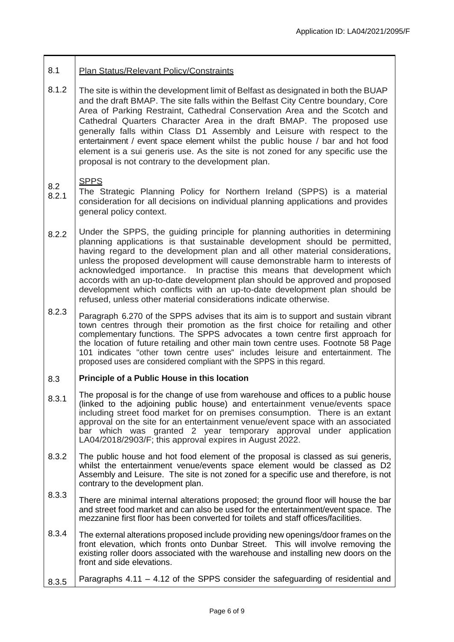#### 8.1 Plan Status/Relevant Policy/Constraints

8.1.2 The site is within the development limit of Belfast as designated in both the BUAP and the draft BMAP. The site falls within the Belfast City Centre boundary, Core Area of Parking Restraint, Cathedral Conservation Area and the Scotch and Cathedral Quarters Character Area in the draft BMAP. The proposed use generally falls within Class D1 Assembly and Leisure with respect to the entertainment / event space element whilst the public house / bar and hot food element is a sui generis use. As the site is not zoned for any specific use the proposal is not contrary to the development plan.

### 8.2 SPPS

- 8.2.1 The Strategic Planning Policy for Northern Ireland (SPPS) is a material consideration for all decisions on individual planning applications and provides general policy context.
- 822 Under the SPPS, the guiding principle for planning authorities in determining planning applications is that sustainable development should be permitted, having regard to the development plan and all other material considerations, unless the proposed development will cause demonstrable harm to interests of acknowledged importance. In practise this means that development which accords with an up-to-date development plan should be approved and proposed development which conflicts with an up-to-date development plan should be refused, unless other material considerations indicate otherwise.
- 8.2.3 Paragraph 6.270 of the SPPS advises that its aim is to support and sustain vibrant town centres through their promotion as the first choice for retailing and other complementary functions. The SPPS advocates a town centre first approach for the location of future retailing and other main town centre uses. Footnote 58 Page 101 indicates "other town centre uses" includes leisure and entertainment. The proposed uses are considered compliant with the SPPS in this regard.

#### 8.3 **Principle of a Public House in this location**

- 8.3.1 The proposal is for the change of use from warehouse and offices to a public house (linked to the adjoining public house) and entertainment venue/events space including street food market for on premises consumption. There is an extant approval on the site for an entertainment venue/event space with an associated bar which was granted 2 year temporary approval under application LA04/2018/2903/F; this approval expires in August 2022.
- 8.3.2 The public house and hot food element of the proposal is classed as sui generis, whilst the entertainment venue/events space element would be classed as D2 Assembly and Leisure. The site is not zoned for a specific use and therefore, is not contrary to the development plan.
- 8.3.3 There are minimal internal alterations proposed; the ground floor will house the bar and street food market and can also be used for the entertainment/event space. The mezzanine first floor has been converted for toilets and staff offices/facilities.
- 8.3.4 The external alterations proposed include providing new openings/door frames on the front elevation, which fronts onto Dunbar Street. This will involve removing the existing roller doors associated with the warehouse and installing new doors on the front and side elevations.
- 8.3.5 Paragraphs 4.11 – 4.12 of the SPPS consider the safeguarding of residential and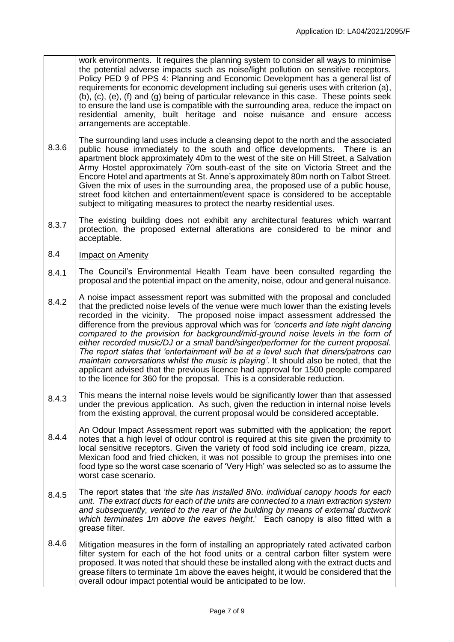work environments. It requires the planning system to consider all ways to minimise the potential adverse impacts such as noise/light pollution on sensitive receptors. Policy PED 9 of PPS 4: Planning and Economic Development has a general list of requirements for economic development including sui generis uses with criterion (a), (b), (c), (e), (f) and (g) being of particular relevance in this case. These points seek to ensure the land use is compatible with the surrounding area, reduce the impact on residential amenity, built heritage and noise nuisance and ensure access arrangements are acceptable.

- 8.3.6 The surrounding land uses include a cleansing depot to the north and the associated public house immediately to the south and office developments. There is an apartment block approximately 40m to the west of the site on Hill Street, a Salvation Army Hostel approximately 70m south-east of the site on Victoria Street and the Encore Hotel and apartments at St. Anne's approximately 80m north on Talbot Street. Given the mix of uses in the surrounding area, the proposed use of a public house, street food kitchen and entertainment/event space is considered to be acceptable subject to mitigating measures to protect the nearby residential uses.
- 8.3.7 The existing building does not exhibit any architectural features which warrant protection, the proposed external alterations are considered to be minor and acceptable.
- 8.4 Impact on Amenity
- 8.4.1 The Council's Environmental Health Team have been consulted regarding the proposal and the potential impact on the amenity, noise, odour and general nuisance.
- 8.4.2 A noise impact assessment report was submitted with the proposal and concluded that the predicted noise levels of the venue were much lower than the existing levels recorded in the vicinity. The proposed noise impact assessment addressed the difference from the previous approval which was for *'concerts and late night dancing compared to the provision for background/mid-ground noise levels in the form of either recorded music/DJ or a small band/singer/performer for the current proposal. The report states that 'entertainment will be at a level such that diners/patrons can maintain conversations whilst the music is playing'*. It should also be noted, that the applicant advised that the previous licence had approval for 1500 people compared to the licence for 360 for the proposal. This is a considerable reduction.
- 8.4.3 This means the internal noise levels would be significantly lower than that assessed under the previous application. As such, given the reduction in internal noise levels from the existing approval, the current proposal would be considered acceptable.
- 8.4.4 An Odour Impact Assessment report was submitted with the application; the report notes that a high level of odour control is required at this site given the proximity to local sensitive receptors. Given the variety of food sold including ice cream, pizza, Mexican food and fried chicken, it was not possible to group the premises into one food type so the worst case scenario of 'Very High' was selected so as to assume the worst case scenario.
- 8.4.5 The report states that '*the site has installed 8No. individual canopy hoods for each unit. The extract ducts for each of the units are connected to a main extraction system and subsequently, vented to the rear of the building by means of external ductwork which terminates 1m above the eaves height*.' Each canopy is also fitted with a grease filter.
- 8.4.6 Mitigation measures in the form of installing an appropriately rated activated carbon filter system for each of the hot food units or a central carbon filter system were proposed. It was noted that should these be installed along with the extract ducts and grease filters to terminate 1m above the eaves height, it would be considered that the overall odour impact potential would be anticipated to be low.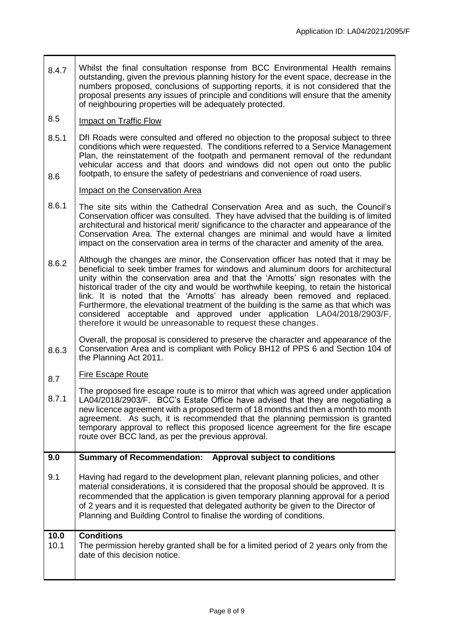- 8.4.7 Whilst the final consultation response from BCC Environmental Health remains outstanding, given the previous planning history for the event space, decrease in the numbers proposed, conclusions of supporting reports, it is not considered that the proposal presents any issues of principle and conditions will ensure that the amenity of neighbouring properties will be adequately protected.
- 8.5 Impact on Traffic Flow
- 8.5.1 8.6 DfI Roads were consulted and offered no objection to the proposal subject to three conditions which were requested. The conditions referred to a Service Management Plan, the reinstatement of the footpath and permanent removal of the redundant vehicular access and that doors and windows did not open out onto the public footpath, to ensure the safety of pedestrians and convenience of road users.

# Impact on the Conservation Area

- 8.6.1 The site sits within the Cathedral Conservation Area and as such, the Council's Conservation officer was consulted. They have advised that the building is of limited architectural and historical merit/ significance to the character and appearance of the Conservation Area. The external changes are minimal and would have a limited impact on the conservation area in terms of the character and amenity of the area.
- 8.6.2 Although the changes are minor, the Conservation officer has noted that it may be beneficial to seek timber frames for windows and aluminum doors for architectural unity within the conservation area and that the 'Arnotts' sign resonates with the historical trader of the city and would be worthwhile keeping, to retain the historical link. It is noted that the 'Arnotts' has already been removed and replaced. Furthermore, the elevational treatment of the building is the same as that which was considered acceptable and approved under application LA04/2018/2903/F, therefore it would be unreasonable to request these changes.
- 8.6.3 Overall, the proposal is considered to preserve the character and appearance of the Conservation Area and is compliant with Policy BH12 of PPS 6 and Section 104 of the Planning Act 2011.

### 8.7 Fire Escape Route

8.7.1 The proposed fire escape route is to mirror that which was agreed under application LA04/2018/2903/F. BCC's Estate Office have advised that they are negotiating a new licence agreement with a proposed term of 18 months and then a month to month agreement. As such, it is recommended that the planning permission is granted temporary approval to reflect this proposed licence agreement for the fire escape route over BCC land, as per the previous approval.

#### **9.0 Summary of Recommendation: Approval subject to conditions**

9.1 Having had regard to the development plan, relevant planning policies, and other material considerations, it is considered that the proposal should be approved. It is recommended that the application is given temporary planning approval for a period of 2 years and it is requested that delegated authority be given to the Director of Planning and Building Control to finalise the wording of conditions.

| 10.0 | <b>Conditions</b>                                                                                                     |
|------|-----------------------------------------------------------------------------------------------------------------------|
| 10.1 | The permission hereby granted shall be for a limited period of 2 years only from the<br>date of this decision notice. |